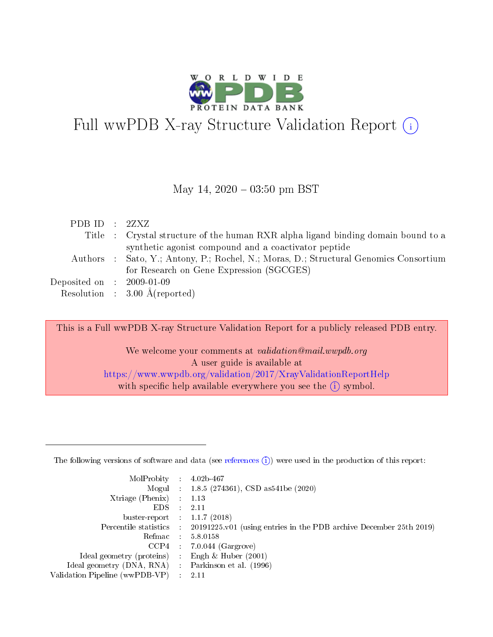

# Full wwPDB X-ray Structure Validation Report  $(i)$

#### May 14,  $2020 - 03:50$  pm BST

| PDB ID : $2ZXZ$             |                                                                                       |
|-----------------------------|---------------------------------------------------------------------------------------|
|                             | Title : Crystal structure of the human RXR alpha ligand binding domain bound to a     |
|                             | synthetic agonist compound and a coactivator peptide                                  |
|                             | Authors : Sato, Y.; Antony, P.; Rochel, N.; Moras, D.; Structural Genomics Consortium |
|                             | for Research on Gene Expression (SGCGES)                                              |
| Deposited on : $2009-01-09$ |                                                                                       |
|                             | Resolution : $3.00 \text{ Å}$ (reported)                                              |

This is a Full wwPDB X-ray Structure Validation Report for a publicly released PDB entry.

We welcome your comments at validation@mail.wwpdb.org A user guide is available at <https://www.wwpdb.org/validation/2017/XrayValidationReportHelp> with specific help available everywhere you see the  $(i)$  symbol.

The following versions of software and data (see [references](https://www.wwpdb.org/validation/2017/XrayValidationReportHelp#references)  $(1)$ ) were used in the production of this report:

| MolProbity :                   |               | $4.02b - 467$                                                               |
|--------------------------------|---------------|-----------------------------------------------------------------------------|
|                                |               | Mogul : $1.8.5$ (274361), CSD as 541be (2020)                               |
| Xtriage (Phenix)               | $\mathcal{L}$ | 1.13                                                                        |
| EDS.                           |               | 2.11                                                                        |
| buster-report : $1.1.7$ (2018) |               |                                                                             |
| Percentile statistics :        |               | $20191225 \text{v}01$ (using entries in the PDB archive December 25th 2019) |
| Refmac :                       |               | 5.8.0158                                                                    |
| CCP4                           |               | $7.0.044$ (Gargrove)                                                        |
| Ideal geometry (proteins) :    |               | Engh $\&$ Huber (2001)                                                      |
| Ideal geometry (DNA, RNA) :    |               | Parkinson et al. (1996)                                                     |
| Validation Pipeline (wwPDB-VP) | $\mathcal{L}$ | 2.11                                                                        |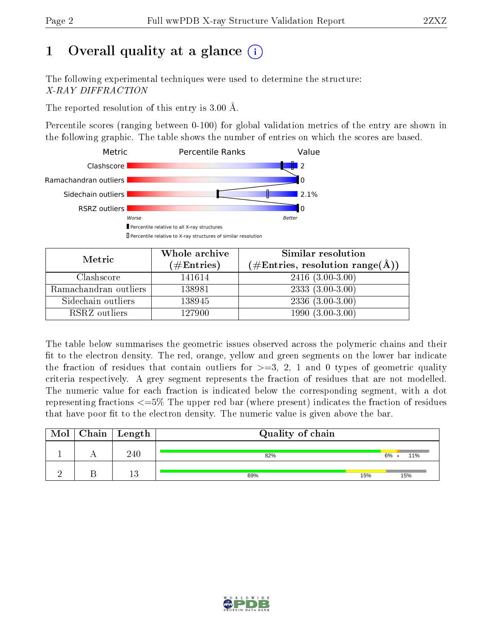# 1 [O](https://www.wwpdb.org/validation/2017/XrayValidationReportHelp#overall_quality)verall quality at a glance  $(i)$

The following experimental techniques were used to determine the structure: X-RAY DIFFRACTION

The reported resolution of this entry is 3.00 Å.

Percentile scores (ranging between 0-100) for global validation metrics of the entry are shown in the following graphic. The table shows the number of entries on which the scores are based.



| Metric                | Whole archive<br>$(\#\text{Entries})$ | Similar resolution<br>$(\#\text{Entries}, \text{resolution range}(\AA))$ |
|-----------------------|---------------------------------------|--------------------------------------------------------------------------|
| Clashscore            | 141614                                | $2416(3.00-3.00)$                                                        |
| Ramachandran outliers | 138981                                | $2333(3.00-3.00)$                                                        |
| Sidechain outliers    | 138945                                | $2336(3.00-3.00)$                                                        |
| RSRZ outliers         | 127900                                | $1990(3.00-3.00)$                                                        |

The table below summarises the geometric issues observed across the polymeric chains and their fit to the electron density. The red, orange, yellow and green segments on the lower bar indicate the fraction of residues that contain outliers for  $\geq=3$ , 2, 1 and 0 types of geometric quality criteria respectively. A grey segment represents the fraction of residues that are not modelled. The numeric value for each fraction is indicated below the corresponding segment, with a dot representing fractions  $\epsilon = 5\%$  The upper red bar (where present) indicates the fraction of residues that have poor fit to the electron density. The numeric value is given above the bar.

| Mol | $\mid$ Chain $\mid$ Length | Quality of chain |     |           |
|-----|----------------------------|------------------|-----|-----------|
|     | 240                        | 82%              |     | 11%<br>6% |
|     | 1 ว<br>ΙU                  | 69%              | 15% | 15%       |

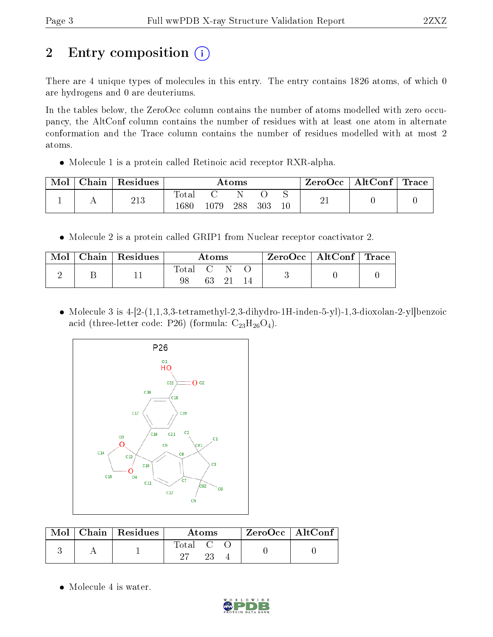# 2 Entry composition  $\left( \cdot \right)$

There are 4 unique types of molecules in this entry. The entry contains 1826 atoms, of which 0 are hydrogens and 0 are deuteriums.

In the tables below, the ZeroOcc column contains the number of atoms modelled with zero occupancy, the AltConf column contains the number of residues with at least one atom in alternate conformation and the Trace column contains the number of residues modelled with at most 2 atoms.

Molecule 1 is a protein called Retinoic acid receptor RXR-alpha.

| Mol | Chain | Residues |                        |       | Atoms |     |        | ZeroOcc | $\mid$ AltConf $\mid$ Trace |  |
|-----|-------|----------|------------------------|-------|-------|-----|--------|---------|-----------------------------|--|
|     |       | 213      | $_{\rm Total}$<br>1680 | 1079. | 288   | 303 | $10\,$ | -41     |                             |  |

• Molecule 2 is a protein called GRIP1 from Nuclear receptor coactivator 2.

| Mol | Chain   Residues |       | Atoms |  | ZeroOcc   AltConf   Trace |  |
|-----|------------------|-------|-------|--|---------------------------|--|
|     |                  | Total |       |  |                           |  |

• Molecule 3 is  $4-[2-(1,1,3,3-tetramethyl-2,3-dihydro-1H-inden-5-yl)-1,3-dioxolan-2-yl]benzoic$ acid (three-letter code: P26) (formula:  $C_{23}H_{26}O_4$ ).



|  | $\text{Mol}$   Chain   Residues | Atoms   | $ZeroOcc \mid AltConf \mid$ |  |
|--|---------------------------------|---------|-----------------------------|--|
|  |                                 | Total C |                             |  |

• Molecule 4 is water.

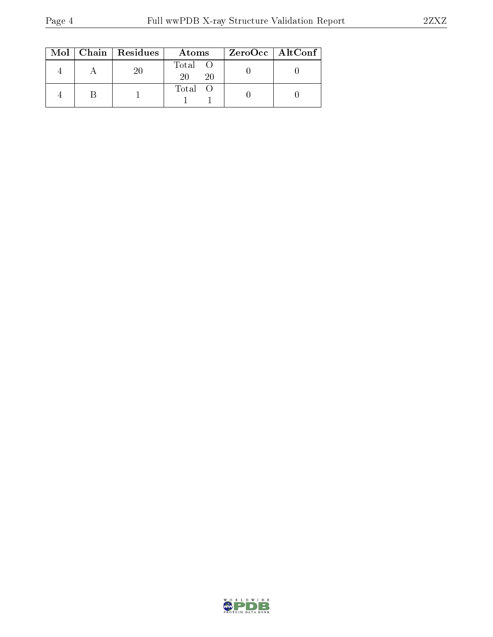|  | $Mol$   Chain   Residues | Atoms               | ZeroOcc   AltConf |
|--|--------------------------|---------------------|-------------------|
|  | 20                       | Total O<br>20<br>20 |                   |
|  |                          | Total O             |                   |

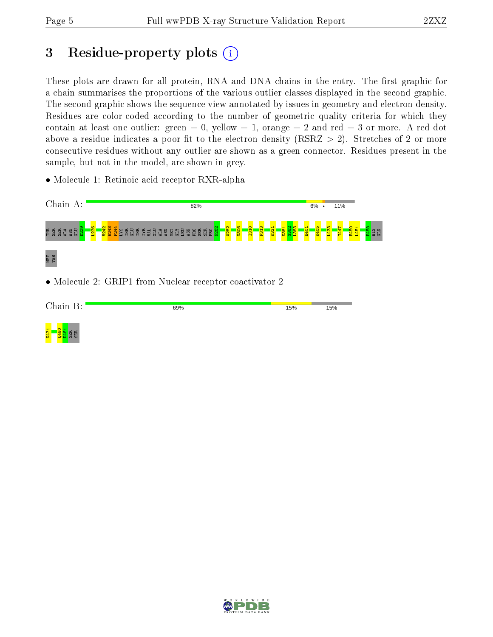# 3 Residue-property plots  $(i)$

These plots are drawn for all protein, RNA and DNA chains in the entry. The first graphic for a chain summarises the proportions of the various outlier classes displayed in the second graphic. The second graphic shows the sequence view annotated by issues in geometry and electron density. Residues are color-coded according to the number of geometric quality criteria for which they contain at least one outlier: green  $= 0$ , yellow  $= 1$ , orange  $= 2$  and red  $= 3$  or more. A red dot above a residue indicates a poor fit to the electron density (RSRZ  $> 2$ ). Stretches of 2 or more consecutive residues without any outlier are shown as a green connector. Residues present in the sample, but not in the model, are shown in grey.

• Molecule 1: Retinoic acid receptor RXR-alpha



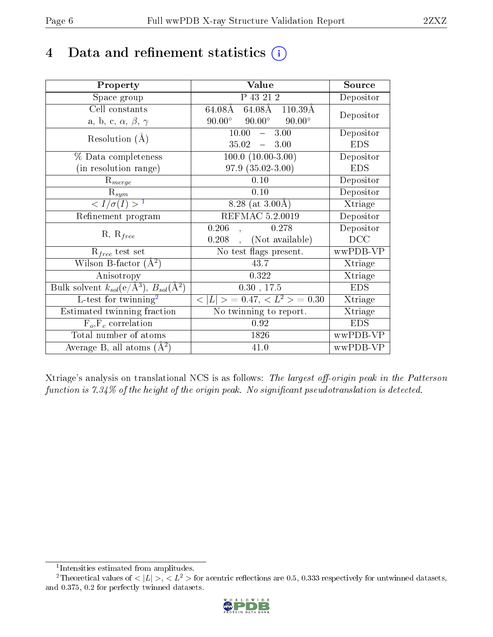# 4 Data and refinement statistics  $(i)$

| Property                                                             | Value                                           | Source     |
|----------------------------------------------------------------------|-------------------------------------------------|------------|
| Space group                                                          | P 43 21 2                                       | Depositor  |
| Cell constants                                                       | 64.08Å 64.08Å 110.39Å                           | Depositor  |
| a, b, c, $\alpha$ , $\beta$ , $\gamma$                               | $90.00^\circ$<br>$90.00^\circ$<br>$90.00^\circ$ |            |
| Resolution $(A)$                                                     | 3.00<br>10.00<br>$\frac{1}{2}$                  | Depositor  |
|                                                                      | 35.02<br>$-3.00$                                | <b>EDS</b> |
| % Data completeness                                                  | $100.0 (10.00 - 3.00)$                          | Depositor  |
| (in resolution range)                                                | $97.9(35.02-3.00)$                              | <b>EDS</b> |
| $R_{merge}$                                                          | 0.10                                            | Depositor  |
| $\mathrm{R}_{sym}$                                                   | 0.10                                            | Depositor  |
| $\sqrt{I/\sigma}(I) > 1$                                             | 8.28 (at $3.00\text{\AA}$ )                     | Xtriage    |
| Refinement program                                                   | REFMAC 5.2.0019                                 | Depositor  |
| $R, R_{free}$                                                        | 0.206<br>0.278                                  | Depositor  |
|                                                                      | (Not available)<br>0.208                        | DCC        |
| $R_{free}$ test set                                                  | No test flags present.                          | wwPDB-VP   |
| Wilson B-factor $(A^2)$                                              | 43.7                                            | Xtriage    |
| Anisotropy                                                           | 0.322                                           | Xtriage    |
| Bulk solvent $k_{sol}(e/\mathring{A}^3)$ , $B_{sol}(\mathring{A}^2)$ | 0.30, 17.5                                      | <b>EDS</b> |
| L-test for $\mathrm{twinning}^2$                                     | $< L >$ = 0.47, $< L2 >$ = 0.30                 | Xtriage    |
| Estimated twinning fraction                                          | No twinning to report.                          | Xtriage    |
| $\overline{F_o}, \overline{F_c}$ correlation                         | 0.92                                            | <b>EDS</b> |
| Total number of atoms                                                | 1826                                            | wwPDB-VP   |
| Average B, all atoms $(A^2)$                                         | 41.0                                            | wwPDB-VP   |

Xtriage's analysis on translational NCS is as follows: The largest off-origin peak in the Patterson function is  $7.34\%$  of the height of the origin peak. No significant pseudotranslation is detected.

<sup>&</sup>lt;sup>2</sup>Theoretical values of  $\langle |L| \rangle$ ,  $\langle L^2 \rangle$  for acentric reflections are 0.5, 0.333 respectively for untwinned datasets, and 0.375, 0.2 for perfectly twinned datasets.



<span id="page-5-1"></span><span id="page-5-0"></span><sup>1</sup> Intensities estimated from amplitudes.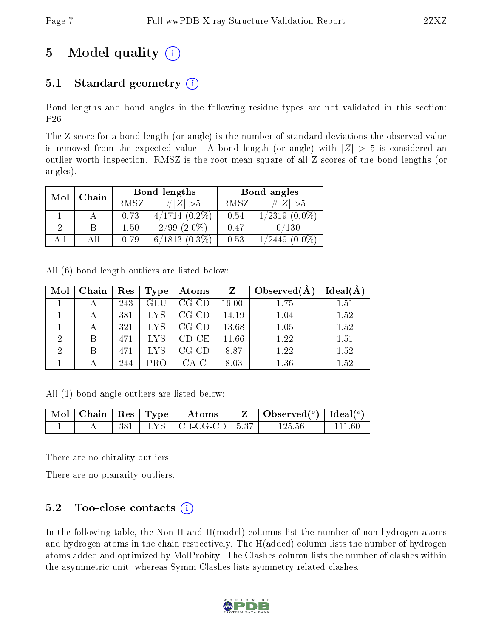# 5 Model quality  $(i)$

### 5.1 Standard geometry  $(i)$

Bond lengths and bond angles in the following residue types are not validated in this section: P26

The Z score for a bond length (or angle) is the number of standard deviations the observed value is removed from the expected value. A bond length (or angle) with  $|Z| > 5$  is considered an outlier worth inspection. RMSZ is the root-mean-square of all Z scores of the bond lengths (or angles).

| Mol | Chain |      | Bond lengths     | Bond angles |                    |  |
|-----|-------|------|------------------|-------------|--------------------|--|
|     |       | RMSZ | # $ Z  > 5$      | RMSZ        | # $ Z  > 5$        |  |
|     |       | 0.73 | $4/1714(0.2\%)$  | 0.54        | $1/2319(0.0\%)$    |  |
|     |       | 1.50 | $2/99$ $(2.0\%)$ | 0.47        | 0/130              |  |
| All | Аll   | 0.79 | $6/1813(0.3\%)$  | 0.53        | $1/2449$ $(0.0\%)$ |  |

All (6) bond length outliers are listed below:

| Mol            | Chain | Res | <b>Type</b> | Atoms       | Z        | Observed $(A)$ | Ideal(A) |
|----------------|-------|-----|-------------|-------------|----------|----------------|----------|
|                |       | 243 | GLU         | $CG$ - $CD$ | 16.00    | 1.75           | 1.51     |
|                |       | 381 | <b>LYS</b>  | $CG$ - $CD$ | $-14.19$ | 1.04           | 1.52     |
|                |       | 321 | <b>LYS</b>  | $CG$ - $CD$ | $-13.68$ | 1.05           | 1.52     |
| $\overline{2}$ | В     | 471 | LYS         | $CD-CE$     | $-11.66$ | 1.22           | 1.51     |
| $\overline{2}$ |       | 471 | LYS         | $CG$ - $CD$ | $-8.87$  | 1.22           | 1.52     |
|                |       | 244 | PRO         | $CA-C$      | $-8.03$  | 1.36           | 1.52     |

All (1) bond angle outliers are listed below:

|  |  | $\mid$ Mol $\mid$ Chain $\mid$ Res $\mid$ Type $\mid$ Atoms | $\parallel$ Z $\parallel$ Observed( $^o$ ) $\parallel$ Ideal( $^o$ ) |        |
|--|--|-------------------------------------------------------------|----------------------------------------------------------------------|--------|
|  |  | 381   LYS   CB-CG-CD   5.37                                 | 125.56                                                               | 111 60 |

There are no chirality outliers.

There are no planarity outliers.

### $5.2$  Too-close contacts  $\binom{1}{1}$

In the following table, the Non-H and H(model) columns list the number of non-hydrogen atoms and hydrogen atoms in the chain respectively. The H(added) column lists the number of hydrogen atoms added and optimized by MolProbity. The Clashes column lists the number of clashes within the asymmetric unit, whereas Symm-Clashes lists symmetry related clashes.

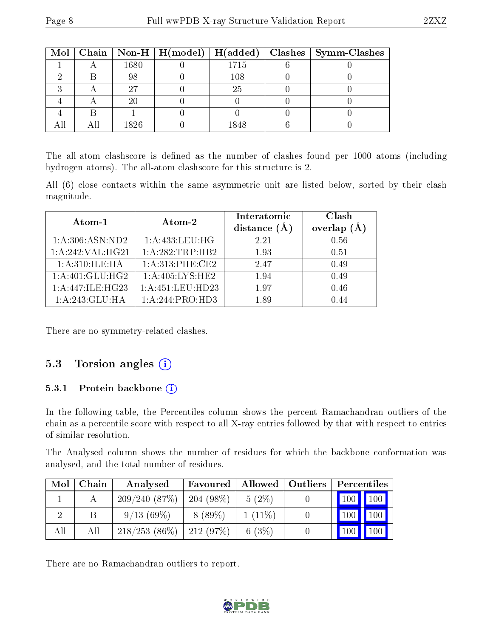|  |      |         | Mol   Chain   Non-H   H(model)   H(added)   Clashes   Symm-Clashes |
|--|------|---------|--------------------------------------------------------------------|
|  | 1680 | 1715    |                                                                    |
|  | 98   | $108\,$ |                                                                    |
|  |      | 25      |                                                                    |
|  |      |         |                                                                    |
|  |      |         |                                                                    |
|  | 1826 |         |                                                                    |

The all-atom clashscore is defined as the number of clashes found per 1000 atoms (including hydrogen atoms). The all-atom clashscore for this structure is 2.

All (6) close contacts within the same asymmetric unit are listed below, sorted by their clash magnitude.

| Atom-1            | Atom-2             | Interatomic<br>distance $(A)$ | Clash<br>overlap |
|-------------------|--------------------|-------------------------------|------------------|
| 1: A:306: ASN:ND2 | 1: A: 433: LEU: HG | 2.21                          | 0.56             |
| 1:A:242:VAL:HG21  | 1:A:282:TRP:HB2    | 1.93                          | 0.51             |
| 1: A:310: ILE: HA | 1:A:313:PHE:CE2    | 2.47                          | 0.49             |
| 1: A:401: GLU:HG2 | 1: A:405:LYS:HE2   | 1.94                          | 0.49             |
| 1:A:447:ILE:HG23  | 1:A:451:LEU:HD23   | 197                           | 0.46             |
| 1:A:243:GLU:HA    | 1: A:244: PRO:HD3  | 1.89                          | 0.44             |

There are no symmetry-related clashes.

#### 5.3 Torsion angles  $(i)$

#### 5.3.1 Protein backbone (i)

In the following table, the Percentiles column shows the percent Ramachandran outliers of the chain as a percentile score with respect to all X-ray entries followed by that with respect to entries of similar resolution.

The Analysed column shows the number of residues for which the backbone conformation was analysed, and the total number of residues.

| Mol | Chain | Analysed        | Favoured    | Allowed   Outliers | Percentiles                  |               |
|-----|-------|-----------------|-------------|--------------------|------------------------------|---------------|
|     |       | 209/240(87%)    | $204(98\%)$ | $5(2\%)$           | $\mid$ 100 $\mid$ 100 $\mid$ |               |
|     |       | 9/13(69%)       | $8(89\%)$   | $1(11\%)$          | 100                          | 100           |
| All | All   | $218/253(86\%)$ | 212(97%)    | 6 $(3%)$           | 100                          | $100\text{ }$ |

There are no Ramachandran outliers to report.

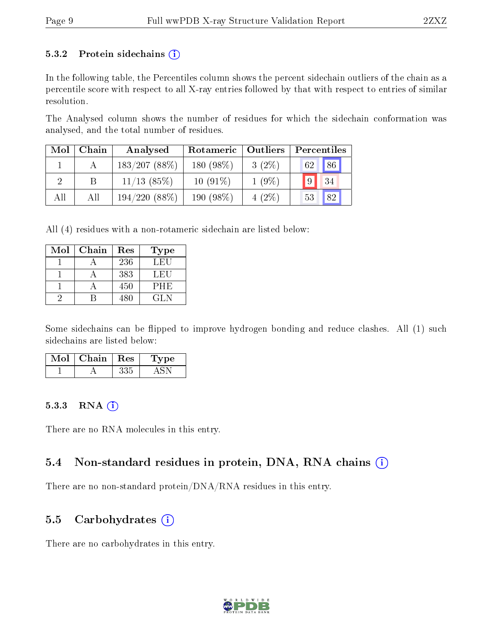#### 5.3.2 Protein sidechains  $(i)$

In the following table, the Percentiles column shows the percent sidechain outliers of the chain as a percentile score with respect to all X-ray entries followed by that with respect to entries of similar resolution.

The Analysed column shows the number of residues for which the sidechain conformation was analysed, and the total number of residues.

| Mol | Chain | Analysed      | Rotameric    | Outliers |          |
|-----|-------|---------------|--------------|----------|----------|
|     |       | 183/207(88%)  | 180 $(98\%)$ | $3(2\%)$ | 86<br>62 |
|     |       | $11/13$ (85%) | $10(91\%)$   | $1(9\%)$ | 9 <br>34 |
| All | All   | 194/220(88%)  | 190 (98%)    | $4(2\%)$ | 82<br>53 |

All (4) residues with a non-rotameric sidechain are listed below:

| Mol | Chain | Res | Type       |
|-----|-------|-----|------------|
|     |       | 236 | LEU        |
|     |       | 383 | LEU        |
|     |       | 450 | <b>PHE</b> |
|     |       | 480 | GL N       |

Some sidechains can be flipped to improve hydrogen bonding and reduce clashes. All (1) such sidechains are listed below:

| Mol | Chain | $\mathbf{Res}$ | 1'ype |
|-----|-------|----------------|-------|
|     |       |                |       |

#### 5.3.3 RNA [O](https://www.wwpdb.org/validation/2017/XrayValidationReportHelp#rna)i

There are no RNA molecules in this entry.

#### 5.4 Non-standard residues in protein, DNA, RNA chains (i)

There are no non-standard protein/DNA/RNA residues in this entry.

#### 5.5 Carbohydrates  $(i)$

There are no carbohydrates in this entry.

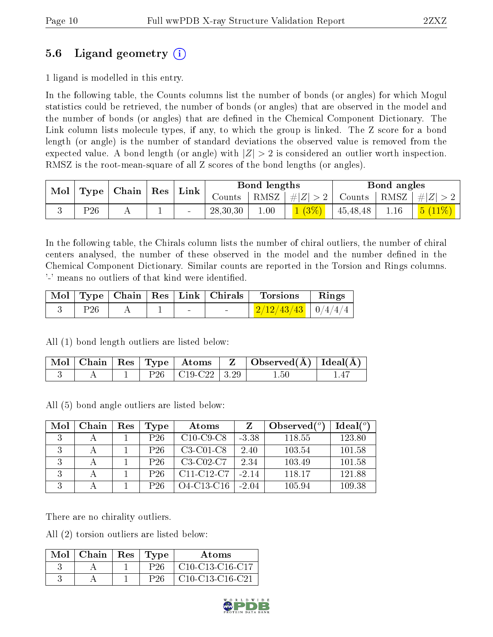### 5.6 Ligand geometry (i)

1 ligand is modelled in this entry.

In the following table, the Counts columns list the number of bonds (or angles) for which Mogul statistics could be retrieved, the number of bonds (or angles) that are observed in the model and the number of bonds (or angles) that are dened in the Chemical Component Dictionary. The Link column lists molecule types, if any, to which the group is linked. The Z score for a bond length (or angle) is the number of standard deviations the observed value is removed from the expected value. A bond length (or angle) with  $|Z| > 2$  is considered an outlier worth inspection. RMSZ is the root-mean-square of all Z scores of the bond lengths (or angles).

| $\bf{Mol}$ |          | Type   Chain | $\mid$ Res $\mid$ | Link   | Bond lengths |      |         | Bond angles                            |      |  |
|------------|----------|--------------|-------------------|--------|--------------|------|---------|----------------------------------------|------|--|
|            |          |              |                   |        | Counts -     |      | #Z  > 2 | Counts   RMSZ $\vert \# \vert Z \vert$ |      |  |
|            | $P_{26}$ |              |                   | $\sim$ | 28,30,30     | 00.1 |         | 45,48,48                               | 1.16 |  |

In the following table, the Chirals column lists the number of chiral outliers, the number of chiral centers analysed, the number of these observed in the model and the number defined in the Chemical Component Dictionary. Similar counts are reported in the Torsion and Rings columns. '-' means no outliers of that kind were identified.

|                 |  | Mol   Type   Chain   Res   Link   Chirals | Torsions                     | Rings |
|-----------------|--|-------------------------------------------|------------------------------|-------|
| P <sub>26</sub> |  |                                           | $\frac{2/12/43/43}{0/4/4/4}$ |       |

All (1) bond length outliers are listed below:

|  |  |                        | $\mid$ Mol $\mid$ Chain $\mid$ Res $\mid$ Type $\mid$ Atoms $\mid$ Z $\mid$ Observed(Å) $\mid$ Ideal(Å) $\mid$ |  |
|--|--|------------------------|----------------------------------------------------------------------------------------------------------------|--|
|  |  | $P26   C19-C22   3.29$ | $1.50\,$                                                                                                       |  |

All (5) bond angle outliers are listed below:

| Mol | Chain | Res | Type            | Atoms                                            |         | Observed $(°)$ | $Ideal(^o)$ |
|-----|-------|-----|-----------------|--------------------------------------------------|---------|----------------|-------------|
| ર   |       |     | $P_{26}$        | $C10-C9-C8$                                      | $-3.38$ | 118.55         | 123.80      |
|     |       |     | $P_{26}$        | $C3-C01-C8$                                      | 2.40    | 103.54         | 101.58      |
| २   |       |     | P <sub>26</sub> | C3-C02-C7                                        | 2.34    | 103.49         | 101.58      |
| २   |       |     | P <sub>26</sub> | C <sub>11</sub> -C <sub>12</sub> -C <sub>7</sub> | $-2.14$ | 118.17         | 121.88      |
|     |       |     | P26             | $O4$ -C <sub>13</sub> -C <sub>16</sub>           | $-2.04$ | 105.94         | 109.38      |

There are no chirality outliers.

All (2) torsion outliers are listed below:

| $Mol$   Chain | $\operatorname{Res}$ | Type | <b>Atoms</b>      |
|---------------|----------------------|------|-------------------|
|               |                      |      | $C10-C13-C16-C17$ |
|               |                      |      | $C10-C13-C16-C21$ |

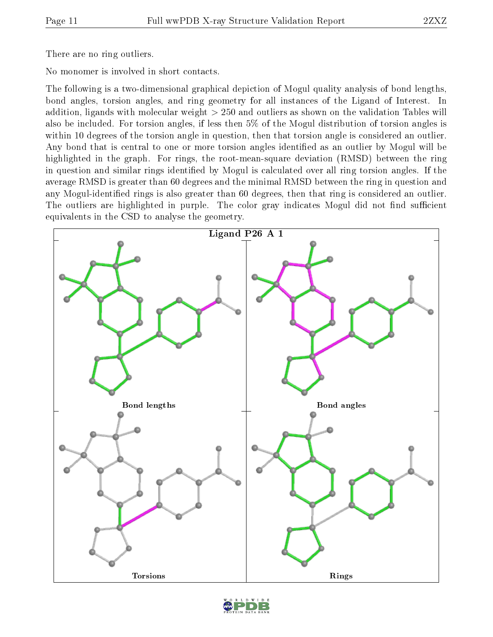There are no ring outliers.

No monomer is involved in short contacts.

The following is a two-dimensional graphical depiction of Mogul quality analysis of bond lengths, bond angles, torsion angles, and ring geometry for all instances of the Ligand of Interest. In addition, ligands with molecular weight > 250 and outliers as shown on the validation Tables will also be included. For torsion angles, if less then 5% of the Mogul distribution of torsion angles is within 10 degrees of the torsion angle in question, then that torsion angle is considered an outlier. Any bond that is central to one or more torsion angles identified as an outlier by Mogul will be highlighted in the graph. For rings, the root-mean-square deviation (RMSD) between the ring in question and similar rings identified by Mogul is calculated over all ring torsion angles. If the average RMSD is greater than 60 degrees and the minimal RMSD between the ring in question and any Mogul-identified rings is also greater than 60 degrees, then that ring is considered an outlier. The outliers are highlighted in purple. The color gray indicates Mogul did not find sufficient equivalents in the CSD to analyse the geometry.



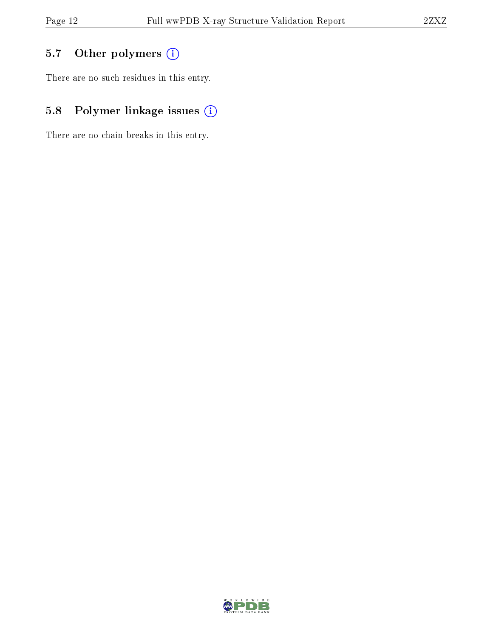### 5.7 [O](https://www.wwpdb.org/validation/2017/XrayValidationReportHelp#nonstandard_residues_and_ligands)ther polymers (i)

There are no such residues in this entry.

### 5.8 Polymer linkage issues (i)

There are no chain breaks in this entry.

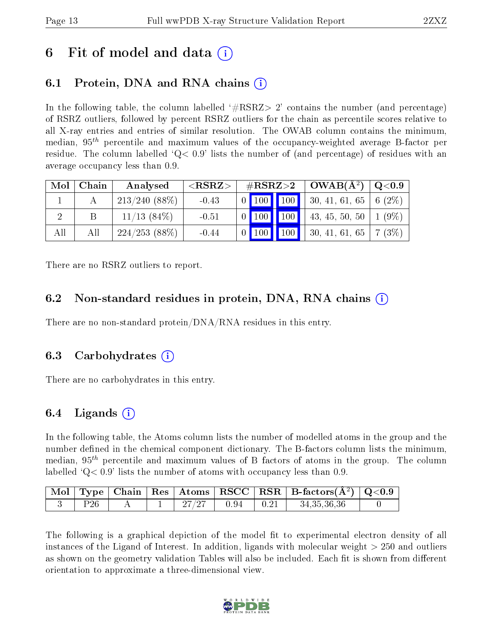## 6 Fit of model and data  $\left( \cdot \right)$

## 6.1 Protein, DNA and RNA chains (i)

In the following table, the column labelled  $#RSRZ>2'$  contains the number (and percentage) of RSRZ outliers, followed by percent RSRZ outliers for the chain as percentile scores relative to all X-ray entries and entries of similar resolution. The OWAB column contains the minimum, median,  $95<sup>th</sup>$  percentile and maximum values of the occupancy-weighted average B-factor per residue. The column labelled  $Q < 0.9$  lists the number of (and percentage) of residues with an average occupancy less than 0.9.

| Mol | Chain | Analysed        | $<$ RSRZ $>$ | $\#\text{RSRZ}\text{>2}$        | $OWAB(A^2)$                | Q <sub>0.9</sub> |
|-----|-------|-----------------|--------------|---------------------------------|----------------------------|------------------|
|     |       | $213/240(88\%)$ | $-0.43$      | $\vert$ 100 $\vert$ 100 $\vert$ | 30, 41, 61, 65             | 6 $(2\%)$        |
|     |       | $11/13$ (84\%)  | $-0.51$      | 100<br>100                      | 43, 45, 50, 50   1 $(9\%)$ |                  |
| All | All   | 224/253(88%)    | $-0.44$      | 100 100                         | 30, 41, 61, 65             | 7(3%)            |

There are no RSRZ outliers to report.

#### 6.2 Non-standard residues in protein, DNA, RNA chains (i)

There are no non-standard protein/DNA/RNA residues in this entry.

#### 6.3 Carbohydrates (i)

There are no carbohydrates in this entry.

### 6.4 Ligands  $(i)$

In the following table, the Atoms column lists the number of modelled atoms in the group and the number defined in the chemical component dictionary. The B-factors column lists the minimum, median,  $95<sup>th</sup>$  percentile and maximum values of B factors of atoms in the group. The column labelled  $Q< 0.9$  lists the number of atoms with occupancy less than 0.9.

|  |  |      | Mol   Type   Chain   Res   Atoms   RSCC   RSR   B-factors $(\AA^2)$   Q<0.9 |  |
|--|--|------|-----------------------------------------------------------------------------|--|
|  |  | 0.94 | 34,35,36,36                                                                 |  |

The following is a graphical depiction of the model fit to experimental electron density of all instances of the Ligand of Interest. In addition, ligands with molecular weight > 250 and outliers as shown on the geometry validation Tables will also be included. Each fit is shown from different orientation to approximate a three-dimensional view.